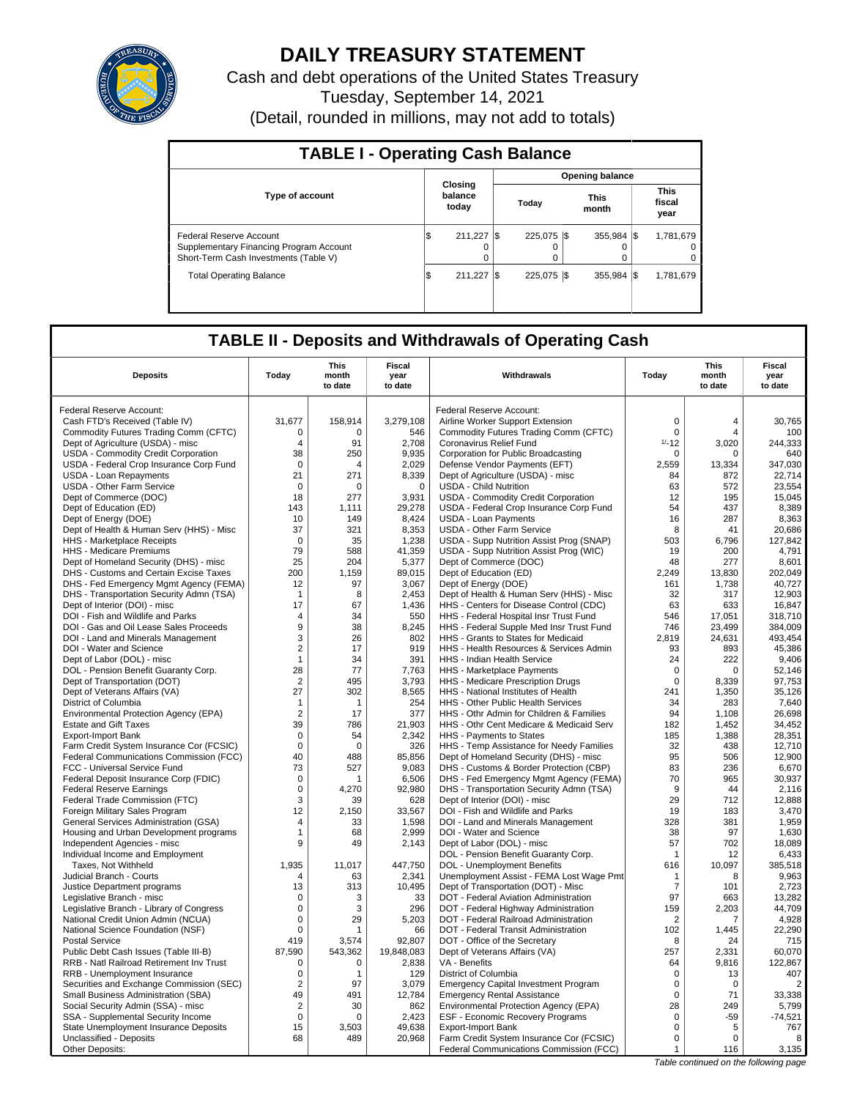

## **DAILY TREASURY STATEMENT**

Cash and debt operations of the United States Treasury Tuesday, September 14, 2021 (Detail, rounded in millions, may not add to totals)

| <b>TABLE I - Operating Cash Balance</b>                                                                     |  |                             |                 |                              |  |                              |  |                               |  |  |  |
|-------------------------------------------------------------------------------------------------------------|--|-----------------------------|-----------------|------------------------------|--|------------------------------|--|-------------------------------|--|--|--|
|                                                                                                             |  |                             | Opening balance |                              |  |                              |  |                               |  |  |  |
| <b>Type of account</b>                                                                                      |  | Closing<br>balance<br>today |                 | Today                        |  | <b>This</b><br>month         |  | <b>This</b><br>fiscal<br>year |  |  |  |
| Federal Reserve Account<br>Supplementary Financing Program Account<br>Short-Term Cash Investments (Table V) |  | 211.227                     |                 | 225.075 \\$<br>0<br>$\Omega$ |  | $355.984$ $\frac{1}{3}$<br>0 |  | 1,781,679<br>$\Omega$<br>0    |  |  |  |
| <b>Total Operating Balance</b>                                                                              |  | 211.227                     |                 | 225.075 \\$                  |  | $355.984$ $\frac{1}{3}$      |  | 1,781,679                     |  |  |  |

### **TABLE II - Deposits and Withdrawals of Operating Cash**

|                                          |                | This             | Fiscal          |                                             |                | This             | Fiscal<br>year |
|------------------------------------------|----------------|------------------|-----------------|---------------------------------------------|----------------|------------------|----------------|
| <b>Deposits</b>                          | Todav          | month<br>to date | year<br>to date | Withdrawals                                 | Todav          | month<br>to date | to date        |
| Federal Reserve Account:                 |                |                  |                 | Federal Reserve Account:                    |                |                  |                |
| Cash FTD's Received (Table IV)           | 31,677         | 158,914          | 3,279,108       | Airline Worker Support Extension            | $\mathbf 0$    | $\overline{4}$   | 30,765         |
| Commodity Futures Trading Comm (CFTC)    | 0              | $\Omega$         | 546             | Commodity Futures Trading Comm (CFTC)       | $\mathbf 0$    | $\overline{4}$   | 100            |
| Dept of Agriculture (USDA) - misc        | $\overline{4}$ | 91               | 2,708           | Coronavirus Relief Fund                     | $1/-12$        | 3,020            | 244,333        |
| USDA - Commodity Credit Corporation      | 38             | 250              | 9.935           | Corporation for Public Broadcasting         | 0              | $\Omega$         | 640            |
| USDA - Federal Crop Insurance Corp Fund  | $\mathbf 0$    | 4                | 2,029           | Defense Vendor Payments (EFT)               | 2,559          | 13,334           | 347,030        |
| USDA - Loan Repayments                   | 21             | 271              | 8.339           | Dept of Agriculture (USDA) - misc           | 84             | 872              | 22.714         |
| <b>USDA - Other Farm Service</b>         | $\mathbf 0$    | 0                | $\mathbf 0$     | <b>USDA - Child Nutrition</b>               | 63             | 572              | 23,554         |
| Dept of Commerce (DOC)                   | 18             | 277              | 3,931           | USDA - Commodity Credit Corporation         | 12             | 195              | 15,045         |
| Dept of Education (ED)                   | 143            | 1,111            | 29,278          | USDA - Federal Crop Insurance Corp Fund     | 54             | 437              | 8,389          |
| Dept of Energy (DOE)                     | 10             | 149              | 8,424           | <b>USDA - Loan Payments</b>                 | 16             | 287              | 8,363          |
| Dept of Health & Human Serv (HHS) - Misc | 37             | 321              | 8,353           | <b>USDA - Other Farm Service</b>            | 8              | 41               | 20,686         |
| HHS - Marketplace Receipts               | $\mathbf 0$    | 35               | 1,238           | USDA - Supp Nutrition Assist Prog (SNAP)    | 503            | 6.796            | 127,842        |
| HHS - Medicare Premiums                  | 79             | 588              | 41,359          | USDA - Supp Nutrition Assist Prog (WIC)     | 19             | 200              | 4,791          |
| Dept of Homeland Security (DHS) - misc   | 25             | 204              | 5,377           | Dept of Commerce (DOC)                      | 48             | 277              | 8,601          |
| DHS - Customs and Certain Excise Taxes   | 200            | 1,159            | 89,015          | Dept of Education (ED)                      | 2,249          | 13,830           | 202,049        |
| DHS - Fed Emergency Mgmt Agency (FEMA)   | 12             | 97               | 3.067           | Dept of Energy (DOE)                        | 161            | 1.738            | 40.727         |
| DHS - Transportation Security Admn (TSA) | $\mathbf{1}$   | 8                | 2,453           | Dept of Health & Human Serv (HHS) - Misc    | 32             | 317              | 12,903         |
| Dept of Interior (DOI) - misc            | 17             | 67               | 1.436           | HHS - Centers for Disease Control (CDC)     | 63             | 633              | 16.847         |
| DOI - Fish and Wildlife and Parks        | 4              | 34               | 550             | HHS - Federal Hospital Insr Trust Fund      | 546            | 17,051           | 318,710        |
| DOI - Gas and Oil Lease Sales Proceeds   | 9              | 38               | 8.245           | HHS - Federal Supple Med Insr Trust Fund    | 746            | 23.499           | 384.009        |
| DOI - Land and Minerals Management       | 3              | 26               | 802             | HHS - Grants to States for Medicaid         | 2,819          | 24,631           | 493,454        |
| DOI - Water and Science                  | $\overline{2}$ | 17               | 919             | HHS - Health Resources & Services Admin     | 93             | 893              | 45,386         |
| Dept of Labor (DOL) - misc               | $\mathbf{1}$   | 34               | 391             | <b>HHS - Indian Health Service</b>          | 24             | 222              | 9,406          |
| DOL - Pension Benefit Guaranty Corp.     | 28             | 77               | 7,763           | HHS - Marketplace Payments                  | $\mathbf 0$    | $\Omega$         | 52,146         |
| Dept of Transportation (DOT)             | $\overline{2}$ | 495              | 3,793           | HHS - Medicare Prescription Drugs           | $\mathbf 0$    | 8,339            | 97,753         |
| Dept of Veterans Affairs (VA)            | 27             | 302              | 8,565           | HHS - National Institutes of Health         | 241            | 1,350            | 35,126         |
| District of Columbia                     | $\mathbf{1}$   | $\mathbf{1}$     | 254             | HHS - Other Public Health Services          | 34             | 283              | 7,640          |
| Environmental Protection Agency (EPA)    | $\overline{2}$ | 17               | 377             | HHS - Othr Admin for Children & Families    | 94             | 1,108            | 26,698         |
| <b>Estate and Gift Taxes</b>             | 39             | 786              | 21,903          | HHS - Othr Cent Medicare & Medicaid Serv    | 182            | 1,452            | 34,452         |
| <b>Export-Import Bank</b>                | $\mathbf 0$    | 54               | 2,342           | HHS - Payments to States                    | 185            | 1,388            | 28.351         |
| Farm Credit System Insurance Cor (FCSIC) | $\mathsf 0$    | $\mathbf 0$      | 326             | HHS - Temp Assistance for Needy Families    | 32             | 438              | 12,710         |
| Federal Communications Commission (FCC)  | 40             | 488              | 85,856          | Dept of Homeland Security (DHS) - misc      | 95             | 506              | 12.900         |
| FCC - Universal Service Fund             | 73             | 527              | 9,083           | DHS - Customs & Border Protection (CBP)     | 83             | 236              | 6,670          |
| Federal Deposit Insurance Corp (FDIC)    | $\mathbf 0$    | 1                | 6.506           | DHS - Fed Emergency Mgmt Agency (FEMA)      | 70             | 965              | 30.937         |
| <b>Federal Reserve Earnings</b>          | $\mathbf 0$    | 4,270            | 92,980          | DHS - Transportation Security Admn (TSA)    | 9              | 44               | 2,116          |
| Federal Trade Commission (FTC)           | 3              | 39               | 628             | Dept of Interior (DOI) - misc               | 29             | 712              | 12,888         |
| Foreign Military Sales Program           | 12             | 2,150            | 33,567          | DOI - Fish and Wildlife and Parks           | 19             | 183              | 3,470          |
| General Services Administration (GSA)    | 4              | 33               | 1,598           | DOI - Land and Minerals Management          | 328            | 381              | 1,959          |
| Housing and Urban Development programs   | 1              | 68               | 2,999           | DOI - Water and Science                     | 38             | 97               | 1,630          |
| Independent Agencies - misc              | 9              | 49               | 2,143           | Dept of Labor (DOL) - misc                  | 57             | 702              | 18,089         |
| Individual Income and Employment         |                |                  |                 | DOL - Pension Benefit Guaranty Corp.        | $\overline{1}$ | 12               | 6,433          |
| Taxes. Not Withheld                      | 1.935          | 11,017           | 447,750         | DOL - Unemployment Benefits                 | 616            | 10.097           | 385.518        |
| Judicial Branch - Courts                 | $\Delta$       | 63               | 2,341           | Unemployment Assist - FEMA Lost Wage Pmt    | 1              | 8                | 9,963          |
| Justice Department programs              | 13             | 313              | 10.495          | Dept of Transportation (DOT) - Misc         | $\overline{7}$ | 101              | 2,723          |
| Legislative Branch - misc                | $\mathbf 0$    | 3                | 33              | DOT - Federal Aviation Administration       | 97             | 663              | 13,282         |
| Legislative Branch - Library of Congress | $\Omega$       | 3                | 296             | DOT - Federal Highway Administration        | 159            | 2,203            | 44.709         |
| National Credit Union Admin (NCUA)       | $\mathsf 0$    | 29               | 5,203           | DOT - Federal Railroad Administration       | 2              | 7                | 4,928          |
| National Science Foundation (NSF)        | $\mathbf 0$    | 1                | 66              | DOT - Federal Transit Administration        | 102            | 1,445            | 22,290         |
| <b>Postal Service</b>                    | 419            | 3,574            | 92,807          | DOT - Office of the Secretary               | 8              | 24               | 715            |
| Public Debt Cash Issues (Table III-B)    | 87,590         | 543,362          | 19,848,083      | Dept of Veterans Affairs (VA)               | 257            | 2,331            | 60,070         |
| RRB - Natl Railroad Retirement Inv Trust | $\mathbf 0$    | $\mathbf 0$      | 2,838           | VA - Benefits                               | 64             | 9,816            | 122,867        |
| RRB - Unemployment Insurance             | $\mathbf 0$    | 1                | 129             | District of Columbia                        | $\mathsf 0$    | 13               | 407            |
| Securities and Exchange Commission (SEC) | $\overline{2}$ | 97               | 3,079           | <b>Emergency Capital Investment Program</b> | $\mathbf 0$    | $\Omega$         | $\overline{2}$ |
| Small Business Administration (SBA)      | 49             | 491              | 12,784          | <b>Emergency Rental Assistance</b>          | $\mathbf 0$    | 71               | 33,338         |
| Social Security Admin (SSA) - misc       | $\overline{2}$ | 30               | 862             | Environmental Protection Agency (EPA)       | 28             | 249              | 5,799          |
| SSA - Supplemental Security Income       | $\mathbf 0$    | $\Omega$         | 2.423           | ESF - Economic Recovery Programs            | 0              | $-59$            | $-74,521$      |
| State Unemployment Insurance Deposits    | 15             | 3,503            | 49,638          | <b>Export-Import Bank</b>                   | 0              | 5                | 767            |
| Unclassified - Deposits                  | 68             | 489              | 20,968          | Farm Credit System Insurance Cor (FCSIC)    | $\Omega$       | $\Omega$         | 8              |
| Other Deposits:                          |                |                  |                 | Federal Communications Commission (FCC)     | $\mathbf{1}$   | 116              | 3,135          |
|                                          |                |                  |                 |                                             |                |                  |                |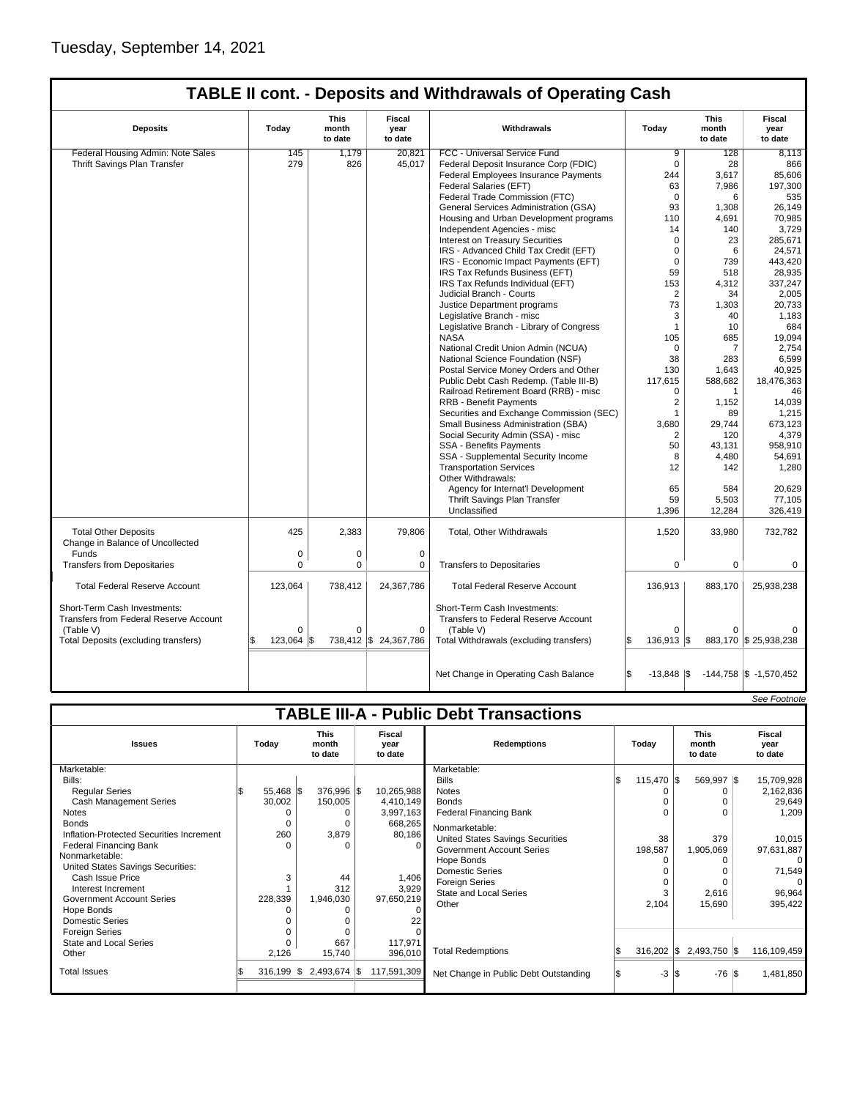# **TABLE II cont. - Deposits and Withdrawals of Operating Cash**

| <b>Deposits</b>                                                               | This<br>Fiscal<br>Withdrawals<br>Today<br>month<br>year<br>to date<br>to date |             |                       |                                                                             |                            | This<br>month<br>to date | Fiscal<br>year<br>to date        |
|-------------------------------------------------------------------------------|-------------------------------------------------------------------------------|-------------|-----------------------|-----------------------------------------------------------------------------|----------------------------|--------------------------|----------------------------------|
| Federal Housing Admin: Note Sales                                             | 145                                                                           | 1.179       | 20.821                | FCC - Universal Service Fund                                                | 9                          | 128                      | 8.113                            |
| Thrift Savings Plan Transfer                                                  | 279                                                                           | 826         | 45,017                | Federal Deposit Insurance Corp (FDIC)                                       | $\Omega$                   | 28                       | 866                              |
|                                                                               |                                                                               |             |                       | Federal Employees Insurance Payments                                        | 244                        | 3,617                    | 85,606                           |
|                                                                               |                                                                               |             |                       | <b>Federal Salaries (EFT)</b>                                               | 63                         | 7,986                    | 197,300                          |
|                                                                               |                                                                               |             |                       | Federal Trade Commission (FTC)                                              | $\mathbf 0$                | 6                        | 535                              |
|                                                                               |                                                                               |             |                       | General Services Administration (GSA)                                       | 93                         | 1,308                    | 26,149                           |
|                                                                               |                                                                               |             |                       | Housing and Urban Development programs                                      | 110                        | 4,691                    | 70,985                           |
|                                                                               |                                                                               |             |                       | Independent Agencies - misc                                                 | 14                         | 140                      | 3,729                            |
|                                                                               |                                                                               |             |                       | <b>Interest on Treasury Securities</b>                                      | $\mathbf 0$                | 23                       | 285,671                          |
|                                                                               |                                                                               |             |                       | IRS - Advanced Child Tax Credit (EFT)                                       | $\mathbf 0$                | 6                        | 24,571                           |
|                                                                               |                                                                               |             |                       | IRS - Economic Impact Payments (EFT)                                        | $\Omega$                   | 739                      | 443.420                          |
|                                                                               |                                                                               |             |                       | IRS Tax Refunds Business (EFT)                                              | 59                         | 518                      | 28,935                           |
|                                                                               |                                                                               |             |                       | IRS Tax Refunds Individual (EFT)                                            | 153                        | 4,312                    | 337,247                          |
|                                                                               |                                                                               |             |                       |                                                                             | $\overline{2}$             | 34                       |                                  |
|                                                                               |                                                                               |             |                       | Judicial Branch - Courts                                                    | 73                         |                          | 2,005                            |
|                                                                               |                                                                               |             |                       | Justice Department programs                                                 |                            | 1,303                    | 20,733                           |
|                                                                               |                                                                               |             |                       | Legislative Branch - misc                                                   | 3                          | 40                       | 1,183                            |
|                                                                               |                                                                               |             |                       | Legislative Branch - Library of Congress                                    | $\overline{1}$             | 10                       | 684                              |
|                                                                               |                                                                               |             |                       | <b>NASA</b>                                                                 | 105                        | 685                      | 19,094                           |
|                                                                               |                                                                               |             |                       | National Credit Union Admin (NCUA)                                          | $\Omega$                   | $\overline{7}$           | 2,754                            |
|                                                                               |                                                                               |             |                       | National Science Foundation (NSF)                                           | 38                         | 283                      | 6,599                            |
|                                                                               |                                                                               |             |                       | Postal Service Money Orders and Other                                       | 130                        | 1,643                    | 40,925                           |
|                                                                               |                                                                               |             |                       | Public Debt Cash Redemp. (Table III-B)                                      | 117,615                    | 588,682                  | 18,476,363                       |
|                                                                               |                                                                               |             |                       | Railroad Retirement Board (RRB) - misc                                      | $\Omega$                   | $\mathbf{1}$             | 46                               |
|                                                                               |                                                                               |             |                       | <b>RRB - Benefit Payments</b>                                               | $\overline{2}$             | 1,152                    | 14,039                           |
|                                                                               |                                                                               |             |                       | Securities and Exchange Commission (SEC)                                    | 1                          | 89                       | 1,215                            |
|                                                                               |                                                                               |             |                       | Small Business Administration (SBA)                                         | 3,680                      | 29,744                   | 673,123                          |
|                                                                               |                                                                               |             |                       | Social Security Admin (SSA) - misc                                          | 2                          | 120                      | 4,379                            |
|                                                                               |                                                                               |             |                       | SSA - Benefits Payments                                                     | 50                         | 43,131                   | 958,910                          |
|                                                                               |                                                                               |             |                       | SSA - Supplemental Security Income                                          | 8                          | 4,480                    | 54,691                           |
|                                                                               |                                                                               |             |                       | <b>Transportation Services</b>                                              | 12                         | 142                      | 1,280                            |
|                                                                               |                                                                               |             |                       | Other Withdrawals:                                                          |                            |                          |                                  |
|                                                                               |                                                                               |             |                       | Agency for Internat'l Development                                           | 65                         | 584                      | 20,629                           |
|                                                                               |                                                                               |             |                       | Thrift Savings Plan Transfer                                                | 59                         | 5,503                    | 77,105                           |
|                                                                               |                                                                               |             |                       | Unclassified                                                                | 1,396                      | 12,284                   | 326,419                          |
|                                                                               |                                                                               |             |                       |                                                                             |                            |                          |                                  |
| <b>Total Other Deposits</b><br>Change in Balance of Uncollected               | 425                                                                           | 2,383       | 79,806                | Total, Other Withdrawals                                                    | 1,520                      | 33,980                   | 732,782                          |
| Funds                                                                         | $\mathbf 0$                                                                   | 0           | $\mathbf 0$           |                                                                             |                            |                          |                                  |
| <b>Transfers from Depositaries</b>                                            | $\Omega$                                                                      | $\mathbf 0$ | 0                     | <b>Transfers to Depositaries</b>                                            | $\mathbf 0$                | 0                        | 0                                |
|                                                                               |                                                                               |             |                       |                                                                             |                            |                          |                                  |
| <b>Total Federal Reserve Account</b>                                          | 123,064                                                                       | 738,412     | 24,367,786            | <b>Total Federal Reserve Account</b>                                        | 136.913                    | 883,170                  | 25,938,238                       |
| Short-Term Cash Investments:<br><b>Transfers from Federal Reserve Account</b> |                                                                               |             |                       | Short-Term Cash Investments:<br><b>Transfers to Federal Reserve Account</b> |                            |                          |                                  |
| (Table V)                                                                     | $\Omega$                                                                      | $\Omega$    | $\Omega$              | (Table V)                                                                   | $\Omega$                   | 0                        |                                  |
| Total Deposits (excluding transfers)                                          | $123,064$ $\sqrt{\$}$                                                         |             | 738,412 \$ 24,367,786 | Total Withdrawals (excluding transfers)                                     | 136,913 \$<br>\$           |                          | 883,170 \$ 25,938,238            |
|                                                                               |                                                                               |             |                       |                                                                             |                            |                          |                                  |
|                                                                               |                                                                               |             |                       | Net Change in Operating Cash Balance                                        | Ŝ.<br>$-13,848$ $\sqrt{5}$ |                          | $-144,758$ $\vert \$ -1,570,452$ |

|                                                                                                                                                                                                                                                                                                                                                                                                                                                              |                                                                                |                                                                                                                                 |                                                                                                                                     |                                                                                                                                                                                                                                                                                                                                                                 |                                           |                                                                                                                           | See Footnote                                                                                                                                          |
|--------------------------------------------------------------------------------------------------------------------------------------------------------------------------------------------------------------------------------------------------------------------------------------------------------------------------------------------------------------------------------------------------------------------------------------------------------------|--------------------------------------------------------------------------------|---------------------------------------------------------------------------------------------------------------------------------|-------------------------------------------------------------------------------------------------------------------------------------|-----------------------------------------------------------------------------------------------------------------------------------------------------------------------------------------------------------------------------------------------------------------------------------------------------------------------------------------------------------------|-------------------------------------------|---------------------------------------------------------------------------------------------------------------------------|-------------------------------------------------------------------------------------------------------------------------------------------------------|
|                                                                                                                                                                                                                                                                                                                                                                                                                                                              |                                                                                |                                                                                                                                 |                                                                                                                                     | <b>TABLE III-A - Public Debt Transactions</b>                                                                                                                                                                                                                                                                                                                   |                                           |                                                                                                                           |                                                                                                                                                       |
| <b>Issues</b>                                                                                                                                                                                                                                                                                                                                                                                                                                                | Today                                                                          | <b>This</b><br>month<br>to date                                                                                                 | Fiscal<br>year<br>to date                                                                                                           | <b>Redemptions</b>                                                                                                                                                                                                                                                                                                                                              | Today                                     | <b>This</b><br>month<br>to date                                                                                           | Fiscal<br>year<br>to date                                                                                                                             |
| Marketable:<br>Bills:<br><b>Regular Series</b><br><b>Cash Management Series</b><br><b>Notes</b><br><b>Bonds</b><br>Inflation-Protected Securities Increment<br><b>Federal Financing Bank</b><br>Nonmarketable:<br>United States Savings Securities:<br>Cash Issue Price<br>Interest Increment<br><b>Government Account Series</b><br>Hope Bonds<br>Domestic Series<br><b>Foreign Series</b><br><b>State and Local Series</b><br>Other<br><b>Total Issues</b> | 55,468 \$<br>30,002<br>0<br>260<br>n<br>3<br>228,339<br>2,126<br>$316,199$ \\$ | 376,996 \$<br>150,005<br>$\Omega$<br>3,879<br>$\Omega$<br>44<br>312<br>1,946,030<br>$\Omega$<br>667<br>15,740<br>$2,493,674$ \$ | 10,265,988<br>4,410,149<br>3,997,163<br>668,265<br>80,186<br>0<br>1,406<br>3,929<br>97,650,219<br>117,971<br>396,010<br>117,591,309 | Marketable:<br><b>Bills</b><br><b>Notes</b><br><b>Bonds</b><br><b>Federal Financing Bank</b><br>Nonmarketable:<br><b>United States Savings Securities</b><br><b>Government Account Series</b><br>Hope Bonds<br><b>Domestic Series</b><br>Foreign Series<br>State and Local Series<br>Other<br><b>Total Redemptions</b><br>Net Change in Public Debt Outstanding | 115,470 \$<br>38<br>198,587<br>3<br>2,104 | 569,997 \$<br>379<br>1,905,069<br>$\Omega$<br>2,616<br>15,690<br>$316,202$ \$ 2,493,750 \$<br>$-3 S $<br>$-76$ $\sqrt{3}$ | 15,709,928<br>2,162,836<br>29,649<br>1,209<br>10,015<br>97,631,887<br>$\Omega$<br>71,549<br>$\Omega$<br>96,964<br>395,422<br>116,109,459<br>1,481,850 |
|                                                                                                                                                                                                                                                                                                                                                                                                                                                              |                                                                                |                                                                                                                                 |                                                                                                                                     |                                                                                                                                                                                                                                                                                                                                                                 |                                           |                                                                                                                           |                                                                                                                                                       |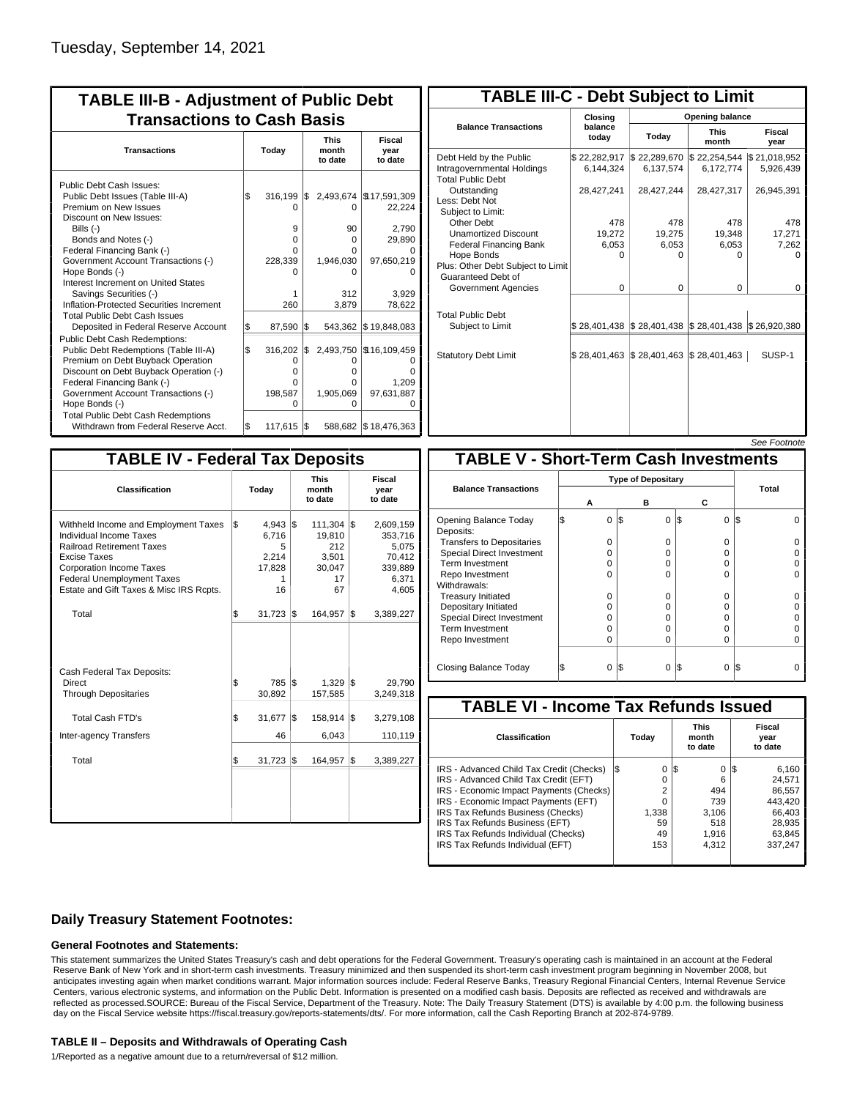| <b>TABLE III-B - Adjustment of Public Debt</b><br><b>Transactions to Cash Basis</b>                                                                                                                                                                                                                                                                                                                |           |                                                  |            |                                                     |                                                                                        |  |  |  |  |
|----------------------------------------------------------------------------------------------------------------------------------------------------------------------------------------------------------------------------------------------------------------------------------------------------------------------------------------------------------------------------------------------------|-----------|--------------------------------------------------|------------|-----------------------------------------------------|----------------------------------------------------------------------------------------|--|--|--|--|
| <b>Transactions</b>                                                                                                                                                                                                                                                                                                                                                                                |           | Today                                            |            | <b>This</b><br>month<br>to date                     | Fiscal<br>year<br>to date                                                              |  |  |  |  |
| Public Debt Cash Issues:<br>Public Debt Issues (Table III-A)<br>Premium on New Issues<br>Discount on New Issues:<br>Bills $(-)$<br>Bonds and Notes (-)<br>Federal Financing Bank (-)<br>Government Account Transactions (-)<br>Hope Bonds (-)<br>Interest Increment on United States<br>Savings Securities (-)<br>Inflation-Protected Securities Increment<br><b>Total Public Debt Cash Issues</b> | \$        | 316,199<br>9<br>$\Omega$<br>U<br>228,339<br>260  | 1\$        | 0<br>90<br>0<br>O<br>1,946,030<br>0<br>312<br>3,879 | 2,493,674   \$17,591,309<br>22,224<br>2,790<br>29,890<br>97,650,219<br>3.929<br>78,622 |  |  |  |  |
| Deposited in Federal Reserve Account<br>Public Debt Cash Redemptions:<br>Public Debt Redemptions (Table III-A)<br>Premium on Debt Buyback Operation<br>Discount on Debt Buyback Operation (-)<br>Federal Financing Bank (-)<br>Government Account Transactions (-)<br>Hope Bonds (-)<br><b>Total Public Debt Cash Redemptions</b>                                                                  | \$<br>l\$ | 87,590<br>316,202<br>0<br>O<br>O<br>198,587<br>O | l\$<br>1\$ | 543,362<br>O<br>0<br>0<br>1,905,069<br>O            | \$19,848,083<br>2,493,750 \\$16,109,459<br>1,209<br>97,631,887                         |  |  |  |  |
| Withdrawn from Federal Reserve Acct.                                                                                                                                                                                                                                                                                                                                                               | l\$       | 117,615                                          | 1\$        |                                                     | 588,682   \$18,476,363                                                                 |  |  |  |  |

| <b>TABLE III-C - Debt Subject to Limit</b>                                        |                           |                                                           |                           |                           |  |  |  |  |  |  |
|-----------------------------------------------------------------------------------|---------------------------|-----------------------------------------------------------|---------------------------|---------------------------|--|--|--|--|--|--|
|                                                                                   | Closina                   | Opening balance                                           |                           |                           |  |  |  |  |  |  |
| <b>Balance Transactions</b>                                                       | balance<br>today          | Today                                                     | <b>This</b><br>month      | Fiscal<br>year            |  |  |  |  |  |  |
| Debt Held by the Public<br>Intragovernmental Holdings<br><b>Total Public Debt</b> | \$22,282,917<br>6.144.324 | \$22,289,670<br>6,137,574                                 | \$22,254,544<br>6,172,774 | \$21,018,952<br>5,926,439 |  |  |  |  |  |  |
| Outstanding<br>Less: Debt Not<br>Subject to Limit:                                | 28,427,241                | 28,427,244                                                | 28,427,317                | 26,945,391                |  |  |  |  |  |  |
| Other Debt                                                                        | 478                       | 478                                                       | 478                       | 478                       |  |  |  |  |  |  |
| <b>Unamortized Discount</b>                                                       | 19,272                    | 19,275                                                    | 19,348                    | 17,271                    |  |  |  |  |  |  |
| <b>Federal Financing Bank</b>                                                     | 6,053                     | 6,053                                                     | 6,053                     | 7,262                     |  |  |  |  |  |  |
| Hope Bonds<br>Plus: Other Debt Subject to Limit<br>Guaranteed Debt of             | $\Omega$                  | O                                                         | U                         | o                         |  |  |  |  |  |  |
| Government Agencies                                                               | $\Omega$                  | $\Omega$                                                  | $\Omega$                  | 0                         |  |  |  |  |  |  |
| <b>Total Public Debt</b><br>Subject to Limit                                      |                           | \$28,401,438   \$28,401,438   \$28,401,438   \$26,920,380 |                           |                           |  |  |  |  |  |  |
| <b>Statutory Debt Limit</b>                                                       | \$28,401,463              | \$28,401,463                                              | \$28,401,463              | SUSP-1                    |  |  |  |  |  |  |
|                                                                                   |                           |                                                           |                           |                           |  |  |  |  |  |  |

|--|

| <b>TABLE IV - Federal Tax Deposits</b>                                                                                                                                                                                                        |     |                                                   |     |                                                                      |     |                                                                      |
|-----------------------------------------------------------------------------------------------------------------------------------------------------------------------------------------------------------------------------------------------|-----|---------------------------------------------------|-----|----------------------------------------------------------------------|-----|----------------------------------------------------------------------|
| Classification                                                                                                                                                                                                                                |     | Today                                             |     | <b>This</b><br>month<br>to date                                      |     | Fiscal<br>year<br>to date                                            |
| Withheld Income and Employment Taxes<br>Individual Income Taxes<br><b>Railroad Retirement Taxes</b><br><b>Excise Taxes</b><br><b>Corporation Income Taxes</b><br><b>Federal Unemployment Taxes</b><br>Estate and Gift Taxes & Misc IRS Rcpts. | \$  | $4,943$ \$<br>6,716<br>5<br>2,214<br>17,828<br>16 |     | $111,304$ $\sqrt{5}$<br>19,810<br>212<br>3,501<br>30,047<br>17<br>67 |     | 2,609,159<br>353,716<br>5,075<br>70,412<br>339,889<br>6,371<br>4,605 |
| Total                                                                                                                                                                                                                                         | l\$ | $31,723$ $\frac{1}{9}$                            |     | 164,957                                                              | l\$ | 3,389,227                                                            |
| Cash Federal Tax Deposits:<br>Direct<br><b>Through Depositaries</b>                                                                                                                                                                           | \$  | 785<br>30,892                                     | l\$ | $1,329$ \$<br>157,585                                                |     | 29.790<br>3,249,318                                                  |
| <b>Total Cash FTD's</b>                                                                                                                                                                                                                       | \$  | 31,677                                            | l\$ | 158,914                                                              | 1\$ | 3,279,108                                                            |
| <b>Inter-agency Transfers</b>                                                                                                                                                                                                                 |     | 46                                                |     | 6,043                                                                |     | 110,119                                                              |
| Total                                                                                                                                                                                                                                         | \$  | 31,723                                            | 1\$ | 164,957                                                              | 1\$ | 3,389,227                                                            |
|                                                                                                                                                                                                                                               |     |                                                   |     |                                                                      |     |                                                                      |

|                                              |   |   |     |          |          | <i>See Footnote</i> |  |  |  |
|----------------------------------------------|---|---|-----|----------|----------|---------------------|--|--|--|
| <b>TABLE V - Short-Term Cash Investments</b> |   |   |     |          |          |                     |  |  |  |
| <b>Type of Depositary</b>                    |   |   |     |          |          |                     |  |  |  |
| <b>Balance Transactions</b>                  |   |   |     |          |          | Total               |  |  |  |
|                                              |   | А |     | в        | С        |                     |  |  |  |
| Opening Balance Today<br>Deposits:           | S | 0 | 1\$ | $\Omega$ | 0<br>I\$ | I\$                 |  |  |  |
| <b>Transfers to Depositaries</b>             |   | O |     | 0        | 0        |                     |  |  |  |
| Special Direct Investment                    |   | O |     | 0        | O        |                     |  |  |  |
| <b>Term Investment</b>                       |   | O |     | 0        | 0        |                     |  |  |  |
| Repo Investment                              |   | O |     | $\Omega$ | 0        |                     |  |  |  |
| Withdrawals:                                 |   |   |     |          |          |                     |  |  |  |
| <b>Treasury Initiated</b>                    |   | 0 |     | 0        | 0        |                     |  |  |  |
| Depositary Initiated                         |   | O |     | 0        | O        |                     |  |  |  |
| <b>Special Direct Investment</b>             |   | O |     | 0        | O        |                     |  |  |  |
| <b>Term Investment</b>                       |   | O |     | 0        | O        |                     |  |  |  |
| Repo Investment                              |   | 0 |     | 0        | 0        |                     |  |  |  |
|                                              |   |   |     |          |          |                     |  |  |  |
| Closing Balance Today                        |   | 0 | l\$ | $\Omega$ | S<br>0   | I\$                 |  |  |  |

| <b>TABLE VI - Income Tax Refunds Issued</b> |                                         |  |                                 |                           |         |  |  |  |  |  |  |
|---------------------------------------------|-----------------------------------------|--|---------------------------------|---------------------------|---------|--|--|--|--|--|--|
|                                             | Today                                   |  | <b>This</b><br>month<br>to date | Fiscal<br>year<br>to date |         |  |  |  |  |  |  |
| l\$                                         | 0                                       |  | 0                               |                           | 6,160   |  |  |  |  |  |  |
|                                             | 0                                       |  | 6                               |                           | 24.571  |  |  |  |  |  |  |
|                                             | 2                                       |  | 494                             |                           | 86.557  |  |  |  |  |  |  |
|                                             | 0                                       |  | 739                             |                           | 443.420 |  |  |  |  |  |  |
|                                             | 1.338                                   |  | 3.106                           |                           | 66.403  |  |  |  |  |  |  |
|                                             | 59                                      |  | 518                             |                           | 28,935  |  |  |  |  |  |  |
|                                             | 49                                      |  | 1.916                           |                           | 63.845  |  |  |  |  |  |  |
|                                             | 153                                     |  | 4.312                           |                           | 337,247 |  |  |  |  |  |  |
|                                             | IRS - Economic Impact Payments (Checks) |  | 1\$                             |                           | 125     |  |  |  |  |  |  |

### **Daily Treasury Statement Footnotes:**

#### **General Footnotes and Statements:**

This statement summarizes the United States Treasury's cash and debt operations for the Federal Government. Treasury's operating cash is maintained in an account at the Federal Reserve Bank of New York and in short-term cash investments. Treasury minimized and then suspended its short-term cash investment program beginning in November 2008, but anticipates investing again when market conditions warrant. Major information sources include: Federal Reserve Banks, Treasury Regional Financial Centers, Internal Revenue Service Centers, various electronic systems, and information on the Public Debt. Information is presented on a modified cash basis. Deposits are reflected as received and withdrawals are reflected as processed.SOURCE: Bureau of the Fiscal Service, Department of the Treasury. Note: The Daily Treasury Statement (DTS) is available by 4:00 p.m. the following business day on the Fiscal Service website https://fiscal.treasury.gov/reports-statements/dts/. For more information, call the Cash Reporting Branch at 202-874-9789.

#### **TABLE II – Deposits and Withdrawals of Operating Cash**

1/Reported as a negative amount due to a return/reversal of \$12 million.